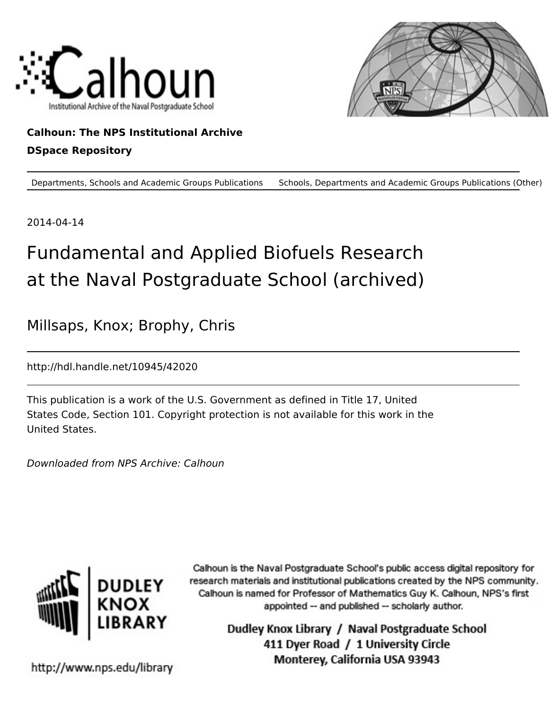



## **Calhoun: The NPS Institutional Archive DSpace Repository**

Departments, Schools and Academic Groups Publications Schools, Departments and Academic Groups Publications (Other)

2014-04-14

## Fundamental and Applied Biofuels Research at the Naval Postgraduate School (archived)

Millsaps, Knox; Brophy, Chris

http://hdl.handle.net/10945/42020

This publication is a work of the U.S. Government as defined in Title 17, United States Code, Section 101. Copyright protection is not available for this work in the United States.

Downloaded from NPS Archive: Calhoun



Calhoun is the Naval Postgraduate School's public access digital repository for research materials and institutional publications created by the NPS community. Calhoun is named for Professor of Mathematics Guy K. Calhoun, NPS's first appointed -- and published -- scholarly author.

> Dudley Knox Library / Naval Postgraduate School 411 Dyer Road / 1 University Circle Monterey, California USA 93943

http://www.nps.edu/library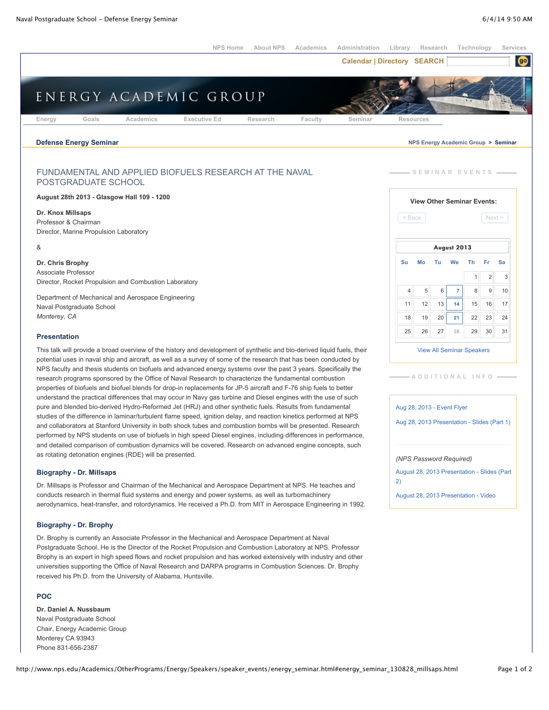